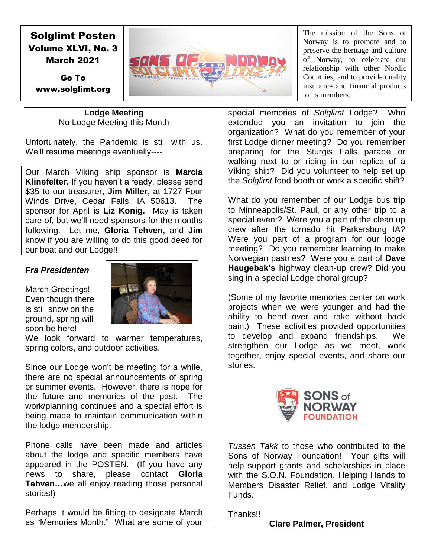# Solglimt Posten Volume XLVI, No. 3 March 2021

Go To www.solglimt.org

**Lodge Meeting** No Lodge Meeting this Month

Unfortunately, the Pandemic is still with us. We'll resume meetings eventually----

Our March Viking ship sponsor is **Marcia Klinefelter.** If you haven't already, please send \$35 to our treasurer, **Jim Miller,** at 1727 Four Winds Drive, Cedar Falls, IA 50613. The sponsor for April is **Liz Konig.** May is taken care of, but we'll need sponsors for the months following. Let me, **Gloria Tehven,** and **Jim**  know if you are willing to do this good deed for our boat and our Lodge!!!

## *Fra Presidenten*

March Greetings! Even though there is still snow on the ground, spring will soon be here!



We look forward to warmer temperatures, spring colors, and outdoor activities.

Since our Lodge won't be meeting for a while, there are no special announcements of spring or summer events. However, there is hope for the future and memories of the past. The work/planning continues and a special effort is being made to maintain communication within the lodge membership.

Phone calls have been made and articles about the lodge and specific members have appeared in the POSTEN. (If you have any news to share, please contact **Gloria Tehven…**we all enjoy reading those personal stories!)

Perhaps it would be fitting to designate March as "Memories Month." What are some of your

The mission of the Sons of Norway is to promote and to preserve the heritage and culture of Norway, to celebrate our relationship with other Nordic Countries, and to provide quality insurance and financial products to its members.

special memories of *Solglimt* Lodge? Who extended you an invitation to join the organization? What do you remember of your first Lodge dinner meeting? Do you remember preparing for the Sturgis Falls parade or walking next to or riding in our replica of a Viking ship? Did you volunteer to help set up the *Solglimt* food booth or work a specific shift?

What do you remember of our Lodge bus trip to Minneapolis/St. Paul, or any other trip to a special event? Were you a part of the clean up crew after the tornado hit Parkersburg IA? Were you part of a program for our lodge meeting? Do you remember learning to make Norwegian pastries? Were you a part of **Dave Haugebak's** highway clean-up crew? Did you sing in a special Lodge choral group?

(Some of my favorite memories center on work projects when we were younger and had the ability to bend over and rake without back pain.) These activities provided opportunities to develop and expand friendships. We strengthen our Lodge as we meet, work together, enjoy special events, and share our stories.



*Tussen Takk* to those who contributed to the Sons of Norway Foundation! Your gifts will help support grants and scholarships in place with the S.O.N. Foundation, Helping Hands to Members Disaster Relief, and Lodge Vitality Funds.

Thanks!!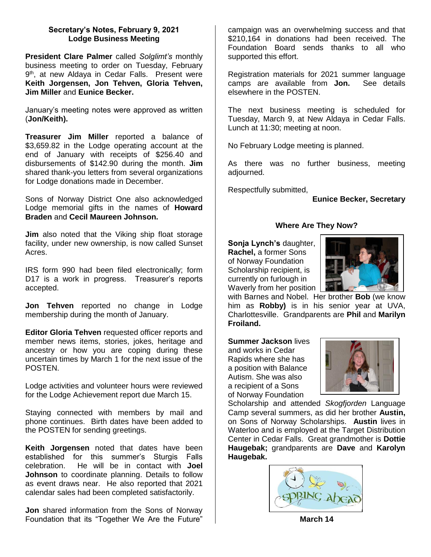## **Secretary's Notes, February 9, 2021 Lodge Business Meeting**

**President Clare Palmer** called *Solglimt's* monthly business meeting to order on Tuesday, February 9<sup>th</sup>, at new Aldaya in Cedar Falls. Present were **Keith Jorgensen, Jon Tehven, Gloria Tehven, Jim Miller** and **Eunice Becker.**

January's meeting notes were approved as written (**Jon/Keith).**

**Treasurer Jim Miller** reported a balance of \$3,659.82 in the Lodge operating account at the end of January with receipts of \$256.40 and disbursements of \$142.90 during the month. **Jim**  shared thank-you letters from several organizations for Lodge donations made in December.

Sons of Norway District One also acknowledged Lodge memorial gifts in the names of **Howard Braden** and **Cecil Maureen Johnson.**

**Jim** also noted that the Viking ship float storage facility, under new ownership, is now called Sunset Acres.

IRS form 990 had been filed electronically; form D17 is a work in progress. Treasurer's reports accepted.

**Jon Tehven** reported no change in Lodge membership during the month of January.

**Editor Gloria Tehven** requested officer reports and member news items, stories, jokes, heritage and ancestry or how you are coping during these uncertain times by March 1 for the next issue of the POSTEN.

Lodge activities and volunteer hours were reviewed for the Lodge Achievement report due March 15.

Staying connected with members by mail and phone continues. Birth dates have been added to the POSTEN for sending greetings.

**Keith Jorgensen** noted that dates have been established for this summer's Sturgis Falls celebration. He will be in contact with **Joel Johnson** to coordinate planning. Details to follow as event draws near. He also reported that 2021 calendar sales had been completed satisfactorily.

**Jon** shared information from the Sons of Norway Foundation that its "Together We Are the Future"

campaign was an overwhelming success and that \$210,164 in donations had been received. The Foundation Board sends thanks to all who supported this effort.

Registration materials for 2021 summer language camps are available from **Jon.** See details elsewhere in the POSTEN.

The next business meeting is scheduled for Tuesday, March 9, at New Aldaya in Cedar Falls. Lunch at 11:30; meeting at noon.

No February Lodge meeting is planned.

As there was no further business, meeting adjourned.

Respectfully submitted,

### **Eunice Becker, Secretary**

## **Where Are They Now?**

**Sonja Lynch's** daughter, **Rachel,** a former Sons of Norway Foundation Scholarship recipient, is currently on furlough in Waverly from her position 1



with Barnes and Nobel. Her brother **Bob** (we know him as **Robby)** is in his senior year at UVA, Charlottesville. Grandparents are **Phil** and **Marilyn Froiland.**

**Summer Jackson** lives and works in Cedar Rapids where she has a position with Balance Autism. She was also a recipient of a Sons of Norway Foundation



Scholarship and attended *Skogfjorden* Language Camp several summers, as did her brother **Austin,**  on Sons of Norway Scholarships. **Austin** lives in Waterloo and is employed at the Target Distribution Center in Cedar Falls. Great grandmother is **Dottie Haugebak;** grandparents are **Dave** and **Karolyn Haugebak.**



**March 14**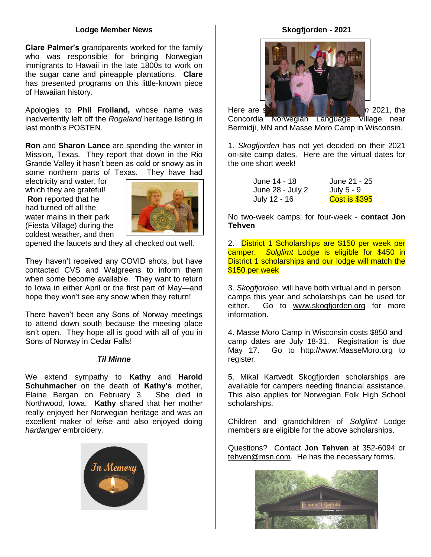#### **Lodge Member News**

**Clare Palmer's** grandparents worked for the family who was responsible for bringing Norwegian immigrants to Hawaii in the late 1800s to work on the sugar cane and pineapple plantations. **Clare**  has presented programs on this little-known piece of Hawaiian history.

Apologies to **Phil Froiland,** whose name was inadvertently left off the *Rogaland* heritage listing in last month's POSTEN.

**Ron** and **Sharon Lance** are spending the winter in Mission, Texas. They report that down in the Rio Grande Valley it hasn't been as cold or snowy as in some northern parts of Texas. They have had

electricity and water, for which they are grateful! **Ron** reported that he had turned off all the water mains in their park (Fiesta Village) during the coldest weather, and then



opened the faucets and they all checked out well.

They haven't received any COVID shots, but have contacted CVS and Walgreens to inform them when some become available. They want to return to Iowa in either April or the first part of May—and hope they won't see any snow when they return!

There haven't been any Sons of Norway meetings to attend down south because the meeting place isn't open. They hope all is good with all of you in Sons of Norway in Cedar Falls!

#### *Til Minne*

We extend sympathy to **Kathy** and **Harold Schuhmacher** on the death of **Kathy's** mother, Elaine Bergan on February 3. She died in Northwood, Iowa. **Kathy** shared that her mother really enjoyed her Norwegian heritage and was an excellent maker of *lefse* and also enjoyed doing *hardanger* embroidery*.*



#### **Skogfjorden - 2021**



Concordia Norwegian Language Village near Bermidji, MN and Masse Moro Camp in Wisconsin.

1. *Skogfjorden* has not yet decided on their 2021 on-site camp dates. Here are the virtual dates for the one short week!

| June 14 - 18     | June 21 - 25         |
|------------------|----------------------|
| June 28 - July 2 | July 5 - 9           |
| July 12 - 16     | <b>Cost is \$395</b> |

No two-week camps; for four-week - **contact Jon Tehven**

2. District 1 Scholarships are \$150 per week per camper. *Solglimt* Lodge is eligible for \$450 in District 1 scholarships and our lodge will match the \$150 per week

3. *Skogfjorden*. will have both virtual and in person camps this year and scholarships can be used for either. Go to [www.skogfjorden.org](http://www.skogfjorden.org/) for more information.

4. Masse Moro Camp in Wisconsin costs \$850 and camp dates are July 18-31. Registration is due May 17. Go to [http://www.MasseMoro.org](http://www.massemoro.org/) to register.

5. Mikal Kartvedt Skogfjorden scholarships are available for campers needing financial assistance. This also applies for Norwegian Folk High School scholarships.

Children and grandchildren of *Solglimt* Lodge members are eligible for the above scholarships.

Questions? Contact **Jon Tehven** at 352-6094 or [tehven@msn.com.](mailto:tehven@msn.com) He has the necessary forms.

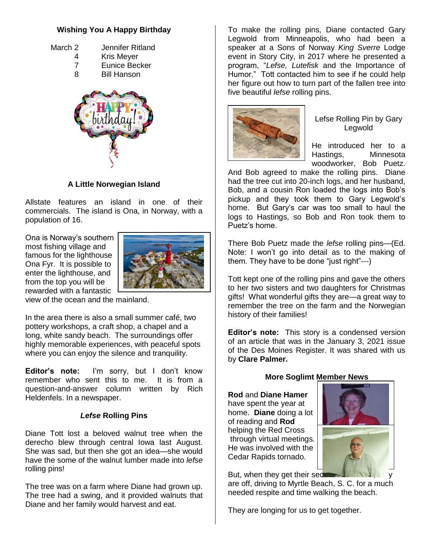## **Wishing You A Happy Birthday**

- March 2 Jennifer Ritland
	- 4 Kris Meyer
	- 7 Eunice Becker
	- 8 Bill Hanson



## **A Little Norwegian Island**

Allstate features an island in one of their commercials. The island is Ona, in Norway, with a population of 16.

Ona is Norway's southern most fishing village and famous for the lighthouse Ona Fyr. It is possible to enter the lighthouse, and from the top you will be rewarded with a fantastic



view of the ocean and the mainland.

In the area there is also a small summer café, two pottery workshops, a craft shop, a chapel and a long, white sandy beach. The surroundings offer highly memorable experiences, with peaceful spots where you can enjoy the silence and tranquility.

**Editor's note:** I'm sorry, but I don't know remember who sent this to me. It is from a question-and-answer column written by Rich Heldenfels. In a newspaper.

## *Lefse* **Rolling Pins**

Diane Tott lost a beloved walnut tree when the derecho blew through central Iowa last August. She was sad, but then she got an idea—she would have the some of the walnut lumber made into *lefse*  rolling pins!

The tree was on a farm where Diane had grown up. The tree had a swing, and it provided walnuts that Diane and her family would harvest and eat.

To make the rolling pins, Diane contacted Gary Legwold from Minneapolis, who had been a speaker at a Sons of Norway *King Sverre* Lodge event in Story City, in 2017 where he presented a program, "*Lefse, Lutefisk* and the Importance of Humor." Tott contacted him to see if he could help her figure out how to turn part of the fallen tree into five beautiful *lefse* rolling pins.



Lefse Rolling Pin by Gary Legwold

He introduced her to a Hastings, Minnesota woodworker, Bob Puetz.

And Bob agreed to make the rolling pins. Diane had the tree cut into 20-inch logs, and her husband, Bob, and a cousin Ron loaded the logs into Bob's pickup and they took them to Gary Legwold's home. But Gary's car was too small to haul the logs to Hastings, so Bob and Ron took them to Puetz's home.

There Bob Puetz made the *lefse* rolling pins—(Ed. Note: I won't go into detail as to the making of them. They have to be done "just right"---)

Tott kept one of the rolling pins and gave the others to her two sisters and two daughters for Christmas gifts! What wonderful gifts they are—a great way to remember the tree on the farm and the Norwegian history of their families!

**Editor's note:** This story is a condensed version of an article that was in the January 3, 2021 issue of the Des Moines Register. It was shared with us by **Clare Palmer.**

## **More Soglimt Member News**

**Rod** and **Diane Hamer** have spent the year at home. **Diane** doing a lot of reading and **Rod**  helping the Red Cross through virtual meetings. He was involved with the Cedar Rapids tornado.



But, when they get their sect are off, driving to Myrtle Beach, S. C. for a much needed respite and time walking the beach.

They are longing for us to get together.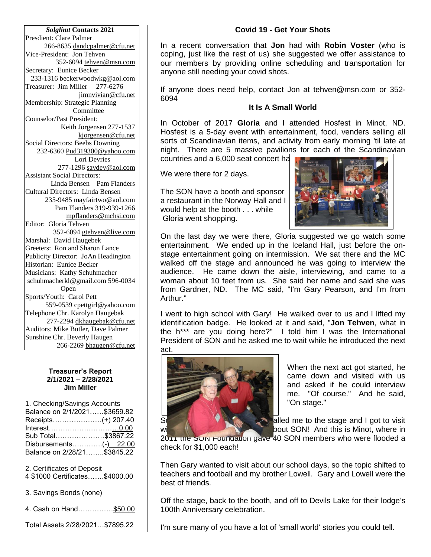*Solglimt* **Contacts 2021** Presdient: Clare Palmer 266-8635 dandcpalmer@cfu.net Vice-President: Jon Tehven 352-6094 [tehven@msn.com](mailto:tehven@msn.com) Secretary: Eunice Becker 233-1316 [beckerwoodwkg@aol.com](mailto:beckerwoodwkg@aol.com) Treasurer: Jim Miller 277-6276 jimnvivian@cfu.net Membership: Strategic Planning Committee Counselor/Past President: Keith Jorgensen 277-1537 [kjorgensen@cfu.net](mailto:kjorgensen@cfu.net) Social Directors: Beebs Downing 232-6360 Pud319300@yahoo.com Lori Devries 277-1296 saydev@aol.com Assistant Social Directors: Linda Bensen Pam Flanders Cultural Directors: Linda Bensen 235-9485 [mayfairtwo@aol.com](mailto:mayfairtwo@aol.com)  Pam Flanders 319-939-1266 [mpflanders@mchsi.com](mailto:mpflanders@mchsi.com) Editor: Gloria Tehven 352-6094 [gtehven@live.com](mailto:gtehven@live.com) Marshal: David Haugebek Greeters: Ron and Sharon Lance Publicity Director: JoAn Headington Historian: Eunice Becker Musicians: Kathy Schuhmacher [schuhmacherkl@gmail.com](mailto:schuhmacherkl@gmail.com) 596-0034 Open Sports/Youth: Carol Pett 559-0539 [cpettgirl@yahoo.com](mailto:cpettgirl@yahoo.com) Telephone Chr. Karolyn Haugebak 277-2294 [dkhaugebak@cfu.net](mailto:dkhaugebak@cfu.net) Auditors: Mike Butler, Dave Palmer Sunshine Chr. Beverly Haugen 266-2269 [bhaugen@cfu.net](mailto:bhaugen@cfu.net)

#### **Treasurer's Report 2/1/2021 – 2/28/2021 Jim Miller**

1. Checking/Savings Accounts Balance on 2/1/2021……\$3659.82 Receipts…………………(+) 207.40 Interest…………………………0.00 Sub Total…………………\$3867.22 Disbursements...............(-) 22.00 Balance on 2/28/21……..\$3845.22

2. Certificates of Deposit

4 \$1000 Certificates…….\$4000.00

3. Savings Bonds (none)

4. Cash on Hand……………\$50.00

Total Assets 2/28/2021…\$7895.22

## **Covid 19 - Get Your Shots**

In a recent conversation that **Jon** had with **Robin Voster** (who is coping, just like the rest of us) she suggested we offer assistance to our members by providing online scheduling and transportation for anyone still needing your covid shots.

If anyone does need help, contact Jon at tehven@msn.com or 352- 6094

## **It Is A Small World**

In October of 2017 **Gloria** and I attended Hosfest in Minot, ND. Hosfest is a 5-day event with entertainment, food, venders selling all sorts of Scandinavian items, and activity from early morning 'til late at night. There are 5 massive pavilions for each of the Scandinavian countries and a 6,000 seat concert ha

We were there for 2 days.

The SON have a booth and sponsor a restaurant in the Norway Hall and I would help at the booth . . . while Gloria went shopping.



On the last day we were there, Gloria suggested we go watch some entertainment. We ended up in the Iceland Hall, just before the onstage entertainment going on intermission. We sat there and the MC walked off the stage and announced he was going to interview the audience. He came down the aisle, interviewing, and came to a woman about 10 feet from us. She said her name and said she was from Gardner, ND. The MC said, "I'm Gary Pearson, and I'm from Arthur."

I went to high school with Gary! He walked over to us and I lifted my identification badge. He looked at it and said, "**Jon Tehven**, what in the h\*\*\* are you doing here?" I told him I was the International President of SON and he asked me to wait while he introduced the next act.



When the next act got started, he came down and visited with us and asked if he could interview me. "Of course." And he said, "On stage."

 $S<sub>0</sub>$  alled me to the stage and I got to visit with a bout SON! And this is Minot, where in

2011 the SON Foundation gave 40 SON members who were flooded a check for \$1,000 each!

Then Gary wanted to visit about our school days, so the topic shifted to teachers and football and my brother Lowell. Gary and Lowell were the best of friends.

Off the stage, back to the booth, and off to Devils Lake for their lodge's 100th Anniversary celebration.

I'm sure many of you have a lot of 'small world' stories you could tell.